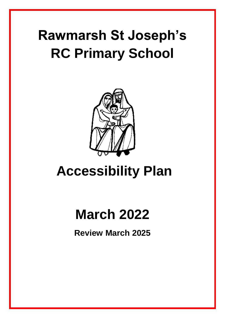# **Rawmarsh St Joseph's RC Primary School**



## **Accessibility Plan**

## **March 2022**

**Review March 2025**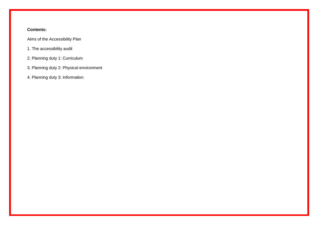#### **Contents:**

Aims of the Accessibility Plan

- 1. The accessibility audit
- 2. Planning duty 1: Curriculum
- 3. Planning duty 2: Physical environment
- 4. Planning duty 3: Information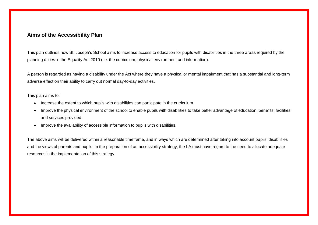#### **Aims of the Accessibility Plan**

This plan outlines how St. Joseph's School aims to increase access to education for pupils with disabilities in the three areas required by the planning duties in the Equality Act 2010 (i.e. the curriculum, physical environment and information).

A person is regarded as having a disability under the Act where they have a physical or mental impairment that has a substantial and long-term adverse effect on their ability to carry out normal day-to-day activities.

This plan aims to:

- Increase the extent to which pupils with disabilities can participate in the curriculum.
- Improve the physical environment of the school to enable pupils with disabilities to take better advantage of education, benefits, facilities and services provided.
- Improve the availability of accessible information to pupils with disabilities.

The above aims will be delivered within a reasonable timeframe, and in ways which are determined after taking into account pupils' disabilities and the views of parents and pupils. In the preparation of an accessibility strategy, the LA must have regard to the need to allocate adequate resources in the implementation of this strategy.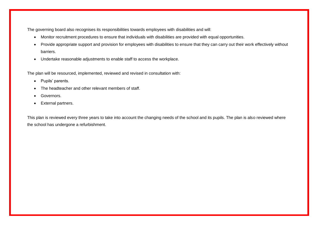The governing board also recognises its responsibilities towards employees with disabilities and will:

- Monitor recruitment procedures to ensure that individuals with disabilities are provided with equal opportunities.
- Provide appropriate support and provision for employees with disabilities to ensure that they can carry out their work effectively without barriers.
- Undertake reasonable adjustments to enable staff to access the workplace.

The plan will be resourced, implemented, reviewed and revised in consultation with:

- Pupils' parents.
- The headteacher and other relevant members of staff.
- Governors.
- External partners.

This plan is reviewed every three years to take into account the changing needs of the school and its pupils. The plan is also reviewed where the school has undergone a refurbishment.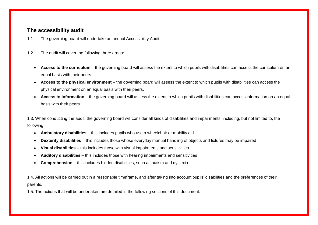#### **The accessibility audit**

- 1.1. The governing board will undertake an annual Accessibility Audit.
- 1.2. The audit will cover the following three areas:
	- Access to the curriculum the governing board will assess the extent to which pupils with disabilities can access the curriculum on an equal basis with their peers.
	- **Access to the physical environment**  the governing board will assess the extent to which pupils with disabilities can access the physical environment on an equal basis with their peers.
	- Access to information the governing board will assess the extent to which pupils with disabilities can access information on an equal basis with their peers.

1.3. When conducting the audit, the governing board will consider all kinds of disabilities and impairments, including, but not limited to, the following:

- **Ambulatory disabilities**  this includes pupils who use a wheelchair or mobility aid
- **Dexterity disabilities**  this includes those whose everyday manual handling of objects and fixtures may be impaired
- **Visual disabilities**  this includes those with visual impairments and sensitivities
- **Auditory disabilities**  this includes those with hearing impairments and sensitivities
- **Comprehension** this includes hidden disabilities, such as autism and dyslexia

1.4. All actions will be carried out in a reasonable timeframe, and after taking into account pupils' disabilities and the preferences of their parents.

1.5. The actions that will be undertaken are detailed in the following sections of this document.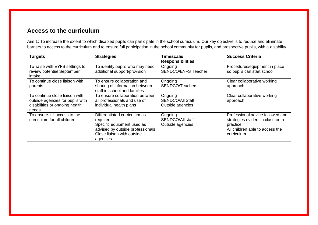### **Access to the curriculum**

Aim 1: To increase the extent to which disabled pupils can participate in the school curriculum. Our key objective is to reduce and eliminate barriers to access to the curriculum and to ensure full participation in the school community for pupils, and prospective pupils, with a disability.

| <b>Targets</b>                                                                                                | <b>Strategies</b>                                                                                                                                    | Timescale/<br><b>Responsibilities</b>                  | <b>Success Criteria</b>                                                                                                          |
|---------------------------------------------------------------------------------------------------------------|------------------------------------------------------------------------------------------------------------------------------------------------------|--------------------------------------------------------|----------------------------------------------------------------------------------------------------------------------------------|
| To liaise with EYFS settings to<br>review potential September<br>intake                                       | To identify pupils who may need<br>additional support/provision                                                                                      | Ongoing<br><b>SENDCO/EYFS Teacher</b>                  | Procedures/equipment in place<br>so pupils can start school                                                                      |
| To continue close liaison with<br>parents                                                                     | To ensure collaboration and<br>sharing of information between<br>staff in school and families                                                        | Ongoing<br>SENDCO/Teachers                             | Clear collaborative working<br>approach                                                                                          |
| To continue close liaison with<br>outside agencies for pupils with<br>disabilities or ongoing health<br>needs | To ensure collaboration between<br>all professionals and use of<br>individual health plans                                                           | Ongoing<br><b>SENDCO/All Staff</b><br>Outside agencies | Clear collaborative working<br>approach                                                                                          |
| To ensure full access to the<br>curriculum for all children                                                   | Differentiated curriculum as<br>required<br>Specific equipment used as<br>advised by outside professionals<br>Close liaison with outside<br>agencies | Ongoing<br><b>SENDCO/All staff</b><br>Outside agencies | Professional advice followed and<br>strategies evident in classroom<br>practice<br>All children able to access the<br>curriculum |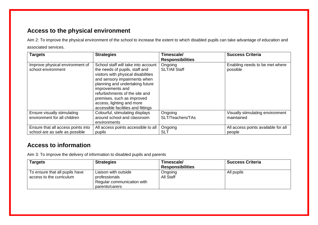## **Access to the physical environment**

Aim 2: To improve the physical environment of the school to increase the extent to which disabled pupils can take advantage of education and associated services.

| <b>Targets</b>                                                       | <b>Strategies</b>                                                                                                                                                                                                                                                                                                                      | Timescale/<br><b>Responsibilities</b> | <b>Success Criteria</b>                        |
|----------------------------------------------------------------------|----------------------------------------------------------------------------------------------------------------------------------------------------------------------------------------------------------------------------------------------------------------------------------------------------------------------------------------|---------------------------------------|------------------------------------------------|
| Improve physical environment of<br>school environment                | School staff will take into account<br>the needs of pupils, staff and<br>visitors with physical disabilities<br>and sensory impairments when<br>planning and undertaking future<br>improvements and<br>refurbishments of the site and<br>premises, such as improved<br>access, lighting and more<br>accessible facilities and fittings | Ongoing<br><b>SLT/All Staff</b>       | Enabling needs to be met where<br>possible     |
| Ensure visually stimulating<br>environment for all children          | Colourful, stimulating displays<br>around school and classroom<br>environments                                                                                                                                                                                                                                                         | Ongoing<br>SLT/Teachers/TAs           | Visually stimulating environment<br>maintained |
| Ensure that all access points into<br>school are as safe as possible | All access points accessible to all<br>pupils                                                                                                                                                                                                                                                                                          | Ongoing<br><b>SLT</b>                 | All access points available for all<br>people  |

### **Access to information**

Aim 3: To improve the delivery of information to disabled pupils and parents

| <b>Targets</b>                                             | <b>Strategies</b>                                                                     | Timescale/<br><b>Responsibilities</b> | <b>Success Criteria</b> |
|------------------------------------------------------------|---------------------------------------------------------------------------------------|---------------------------------------|-------------------------|
| To ensure that all pupils have<br>access to the curriculum | Liaison with outside<br>professionals<br>Regular communication with<br>parents/carers | Ongoing<br>All Staff                  | All pupils              |